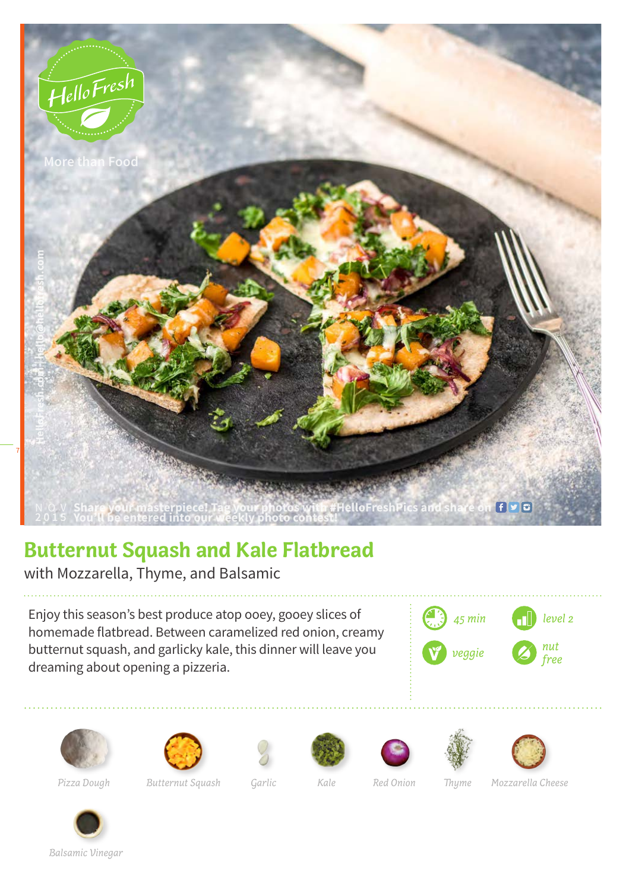

## **Butternut Squash and Kale Flatbread**

with Mozzarella, Thyme, and Balsamic

Enjoy this season's best produce atop ooey, gooey slices of homemade flatbread. Between caramelized red onion, creamy butternut squash, and garlicky kale, this dinner will leave you dreaming about opening a pizzeria.















*Pizza Dough Butternut Squash Garlic Kale Red Onion Thyme Mozzarella Cheese*